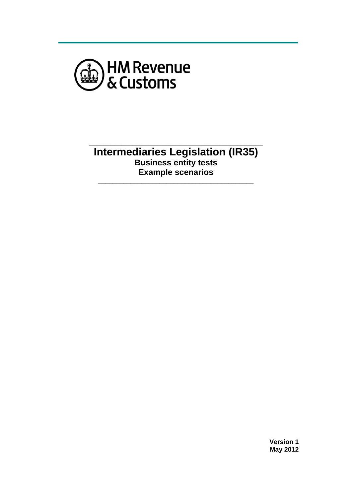

## \_\_\_\_\_\_\_\_\_\_\_\_\_\_\_\_\_\_\_\_\_\_\_\_\_\_\_\_\_\_\_\_\_\_\_\_\_\_\_\_\_\_\_\_\_\_\_\_ **Intermediaries Legislation (IR35) Business entity tests**  Example scenarios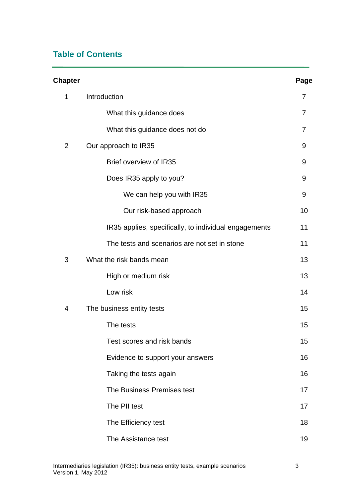# **Table of Contents**

| <b>Chapter</b> |                                                       | Page           |
|----------------|-------------------------------------------------------|----------------|
| 1              | Introduction                                          | 7              |
|                | What this guidance does                               | $\overline{7}$ |
|                | What this guidance does not do                        | 7              |
| $\overline{2}$ | Our approach to IR35                                  | 9              |
|                | Brief overview of IR35                                | 9              |
|                | Does IR35 apply to you?                               | 9              |
|                | We can help you with IR35                             | 9              |
|                | Our risk-based approach                               | 10             |
|                | IR35 applies, specifically, to individual engagements | 11             |
|                | The tests and scenarios are not set in stone          | 11             |
| 3              | What the risk bands mean                              | 13             |
|                | High or medium risk                                   | 13             |
|                | Low risk                                              | 14             |
| 4              | The business entity tests                             | 15             |
|                | The tests                                             | 15             |
|                | Test scores and risk bands                            | 15             |
|                | Evidence to support your answers                      | 16             |
|                | Taking the tests again                                | 16             |
|                | The Business Premises test                            | 17             |
|                | The PII test                                          | 17             |
|                | The Efficiency test                                   | 18             |
|                | The Assistance test                                   | 19             |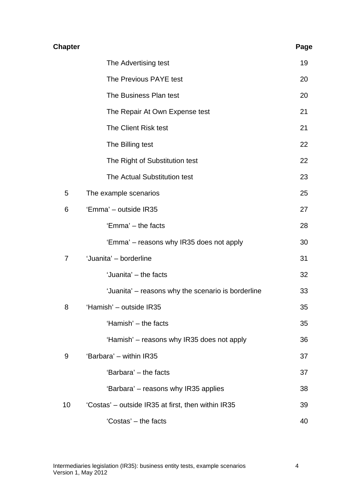| <b>Chapter</b> |                                                    | Page |
|----------------|----------------------------------------------------|------|
|                | The Advertising test                               | 19   |
|                | The Previous PAYE test                             | 20   |
|                | The Business Plan test                             | 20   |
|                | The Repair At Own Expense test                     | 21   |
|                | The Client Risk test                               | 21   |
|                | The Billing test                                   | 22   |
|                | The Right of Substitution test                     | 22   |
|                | The Actual Substitution test                       | 23   |
| 5              | The example scenarios                              | 25   |
| 6              | 'Emma' - outside IR35                              | 27   |
|                | 'Emma' – the facts                                 | 28   |
|                | 'Emma' – reasons why IR35 does not apply           | 30   |
| $\overline{7}$ | 'Juanita' - borderline                             | 31   |
|                | 'Juanita' - the facts                              | 32   |
|                | 'Juanita' – reasons why the scenario is borderline | 33   |
| 8              | 'Hamish' - outside IR35                            | 35   |
|                | 'Hamish' – the facts                               | 35   |
|                | 'Hamish' – reasons why IR35 does not apply         | 36   |
| 9              | 'Barbara' - within IR35                            | 37   |
|                | 'Barbara' – the facts                              | 37   |
|                | 'Barbara' – reasons why IR35 applies               | 38   |
| 10             | 'Costas' – outside IR35 at first, then within IR35 | 39   |
|                | 'Costas' – the facts                               | 40   |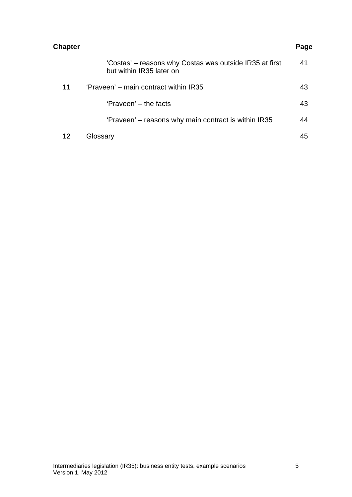| <b>Chapter</b> |                                                                                     | Page |
|----------------|-------------------------------------------------------------------------------------|------|
|                | 'Costas' – reasons why Costas was outside IR35 at first<br>but within IR35 later on | 41   |
| 11             | 'Praveen' – main contract within IR35                                               | 43   |
|                | 'Praveen' – the facts                                                               | 43   |
|                | 'Praveen' – reasons why main contract is within IR35                                | 44   |
|                | Glossary                                                                            | 45   |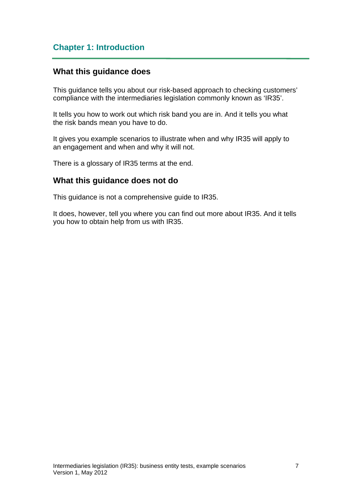# **Chapter 1: Introduction**

### **What this guidance does**

This guidance tells you about our risk-based approach to checking customers' compliance with the intermediaries legislation commonly known as 'IR35'.

It tells you how to work out which risk band you are in. And it tells you what the risk bands mean you have to do.

It gives you example scenarios to illustrate when and why IR35 will apply to an engagement and when and why it will not.

There is a glossary of IR35 terms at the end.

### **What this guidance does not do**

This guidance is not a comprehensive guide to IR35.

It does, however, tell you where you can find out more about IR35. And it tells you how to obtain help from us with IR35.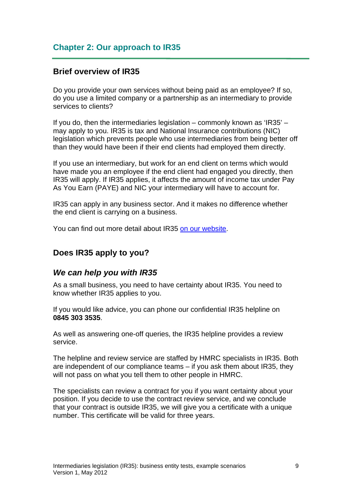## **Chapter 2: Our approach to IR35**

#### **Brief overview of IR35**

Do you provide your own services without being paid as an employee? If so, do you use a limited company or a partnership as an intermediary to provide services to clients?

If you do, then the intermediaries legislation – commonly known as 'IR35' – may apply to you. IR35 is tax and National Insurance contributions (NIC) legislation which prevents people who use intermediaries from being better off than they would have been if their end clients had employed them directly.

If you use an intermediary, but work for an end client on terms which would have made you an employee if the end client had engaged you directly, then IR35 will apply. If IR35 applies, it affects the amount of income tax under Pay As You Earn (PAYE) and NIC your intermediary will have to account for.

IR35 can apply in any business sector. And it makes no difference whether the end client is carrying on a business.

You can find out more detail about IR35 [on our website.](http://www.hmrc.gov.uk/ir35/index.htm)

#### **Does IR35 apply to you?**

#### *We can help you with IR35*

As a small business, you need to have certainty about IR35. You need to know whether IR35 applies to you.

If you would like advice, you can phone our confidential IR35 helpline on **0845 303 3535**.

As well as answering one-off queries, the IR35 helpline provides a review service.

The helpline and review service are staffed by HMRC specialists in IR35. Both are independent of our compliance teams – if you ask them about IR35, they will not pass on what you tell them to other people in HMRC.

The specialists can review a contract for you if you want certainty about your position. If you decide to use the contract review service, and we conclude that your contract is outside IR35, we will give you a certificate with a unique number. This certificate will be valid for three years.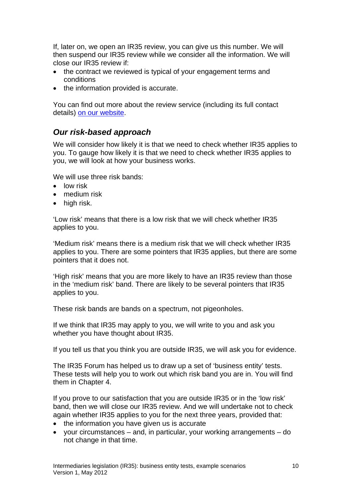If, later on, we open an IR35 review, you can give us this number. We will then suspend our IR35 review while we consider all the information. We will close our IR35 review if:

- the contract we reviewed is typical of your engagement terms and conditions
- the information provided is accurate.

You can find out more about the review service (including its full contact details) [on our website.](http://www.hmrc.gov.uk/ir35/faq_qanda/general_q14.htm)

## *Our risk-based approach*

We will consider how likely it is that we need to check whether IR35 applies to you. To gauge how likely it is that we need to check whether IR35 applies to you, we will look at how your business works.

We will use three risk bands:

- low risk
- medium risk
- high risk.

'Low risk' means that there is a low risk that we will check whether IR35 applies to you.

'Medium risk' means there is a medium risk that we will check whether IR35 applies to you. There are some pointers that IR35 applies, but there are some pointers that it does not.

'High risk' means that you are more likely to have an IR35 review than those in the 'medium risk' band. There are likely to be several pointers that IR35 applies to you.

These risk bands are bands on a spectrum, not pigeonholes.

If we think that IR35 may apply to you, we will write to you and ask you whether you have thought about IR35.

If you tell us that you think you are outside IR35, we will ask you for evidence.

The IR35 Forum has helped us to draw up a set of 'business entity' tests. These tests will help you to work out which risk band you are in. You will find them in Chapter 4.

If you prove to our satisfaction that you are outside IR35 or in the 'low risk' band, then we will close our IR35 review. And we will undertake not to check again whether IR35 applies to you for the next three years, provided that:

- the information you have given us is accurate
- your circumstances and, in particular, your working arrangements do not change in that time.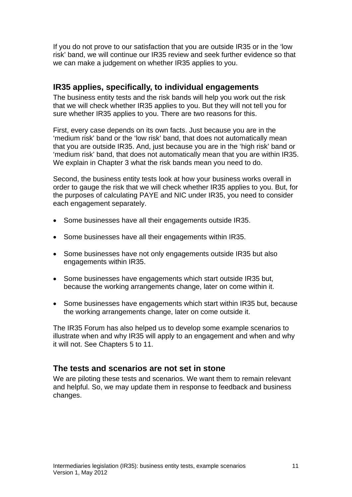If you do not prove to our satisfaction that you are outside IR35 or in the 'low risk' band, we will continue our IR35 review and seek further evidence so that we can make a judgement on whether IR35 applies to you.

## **IR35 applies, specifically, to individual engagements**

The business entity tests and the risk bands will help you work out the risk that we will check whether IR35 applies to you. But they will not tell you for sure whether IR35 applies to you. There are two reasons for this.

First, every case depends on its own facts. Just because you are in the 'medium risk' band or the 'low risk' band, that does not automatically mean that you are outside IR35. And, just because you are in the 'high risk' band or 'medium risk' band, that does not automatically mean that you are within IR35. We explain in Chapter 3 what the risk bands mean you need to do.

Second, the business entity tests look at how your business works overall in order to gauge the risk that we will check whether IR35 applies to you. But, for the purposes of calculating PAYE and NIC under IR35, you need to consider each engagement separately.

- Some businesses have all their engagements outside IR35.
- Some businesses have all their engagements within IR35.
- Some businesses have not only engagements outside IR35 but also engagements within IR35.
- Some businesses have engagements which start outside IR35 but, because the working arrangements change, later on come within it.
- Some businesses have engagements which start within IR35 but, because the working arrangements change, later on come outside it.

The IR35 Forum has also helped us to develop some example scenarios to illustrate when and why IR35 will apply to an engagement and when and why it will not. See Chapters 5 to 11.

# **The tests and scenarios are not set in stone**

We are piloting these tests and scenarios. We want them to remain relevant and helpful. So, we may update them in response to feedback and business changes.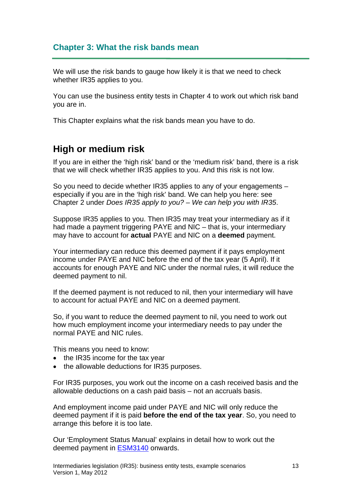## **Chapter 3: What the risk bands mean**

We will use the risk bands to gauge how likely it is that we need to check whether IR35 applies to you.

You can use the business entity tests in Chapter 4 to work out which risk band you are in.

This Chapter explains what the risk bands mean you have to do.

# **High or medium risk**

If you are in either the 'high risk' band or the 'medium risk' band, there is a risk that we will check whether IR35 applies to you. And this risk is not low.

So you need to decide whether IR35 applies to any of your engagements – especially if you are in the 'high risk' band. We can help you here: see Chapter 2 under *Does IR35 apply to you? – We can help you with IR35*.

Suppose IR35 applies to you. Then IR35 may treat your intermediary as if it had made a payment triggering PAYE and NIC – that is, your intermediary may have to account for **actual** PAYE and NIC on a **deemed** payment.

Your intermediary can reduce this deemed payment if it pays employment income under PAYE and NIC before the end of the tax year (5 April). If it accounts for enough PAYE and NIC under the normal rules, it will reduce the deemed payment to nil.

If the deemed payment is not reduced to nil, then your intermediary will have to account for actual PAYE and NIC on a deemed payment.

So, if you want to reduce the deemed payment to nil, you need to work out how much employment income your intermediary needs to pay under the normal PAYE and NIC rules.

This means you need to know:

- the IR35 income for the tax year
- the allowable deductions for IR35 purposes.

For IR35 purposes, you work out the income on a cash received basis and the allowable deductions on a cash paid basis – not an accruals basis.

And employment income paid under PAYE and NIC will only reduce the deemed payment if it is paid **before the end of the tax year**. So, you need to arrange this before it is too late.

Our 'Employment Status Manual' explains in detail how to work out the deemed payment in **[ESM3140](http://www.hmrc.gov.uk/manuals/esmmanual/ESM3140.htm)** onwards.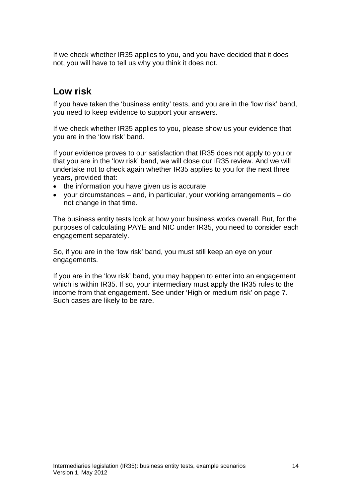If we check whether IR35 applies to you, and you have decided that it does not, you will have to tell us why you think it does not.

# **Low risk**

If you have taken the 'business entity' tests, and you are in the 'low risk' band, you need to keep evidence to support your answers.

If we check whether IR35 applies to you, please show us your evidence that you are in the 'low risk' band.

If your evidence proves to our satisfaction that IR35 does not apply to you or that you are in the 'low risk' band, we will close our IR35 review. And we will undertake not to check again whether IR35 applies to you for the next three years, provided that:

- the information you have given us is accurate
- your circumstances and, in particular, your working arrangements do not change in that time.

The business entity tests look at how your business works overall. But, for the purposes of calculating PAYE and NIC under IR35, you need to consider each engagement separately.

So, if you are in the 'low risk' band, you must still keep an eye on your engagements.

If you are in the 'low risk' band, you may happen to enter into an engagement which is within IR35. If so, your intermediary must apply the IR35 rules to the income from that engagement. See under 'High or medium risk' on page 7. Such cases are likely to be rare.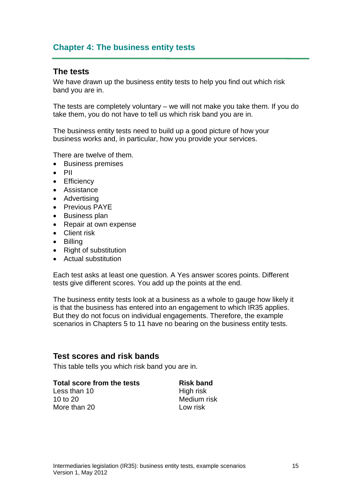## **Chapter 4: The business entity tests**

#### **The tests**

We have drawn up the business entity tests to help you find out which risk band you are in.

The tests are completely voluntary – we will not make you take them. If you do take them, you do not have to tell us which risk band you are in.

The business entity tests need to build up a good picture of how your business works and, in particular, how you provide your services.

There are twelve of them.

- Business premises
- $\bullet$  PII
- Efficiency
- Assistance
- Advertising
- Previous PAYE
- Business plan
- Repair at own expense
- Client risk
- Billing
- Right of substitution
- Actual substitution

Each test asks at least one question. A Yes answer scores points. Different tests give different scores. You add up the points at the end.

The business entity tests look at a business as a whole to gauge how likely it is that the business has entered into an engagement to which IR35 applies. But they do not focus on individual engagements. Therefore, the example scenarios in Chapters 5 to 11 have no bearing on the business entity tests.

#### **Test scores and risk bands**

This table tells you which risk band you are in.

#### **Total score from the tests Band Risk band**

Less than 10 High risk 10 to 20 Medium risk More than 20 Low risk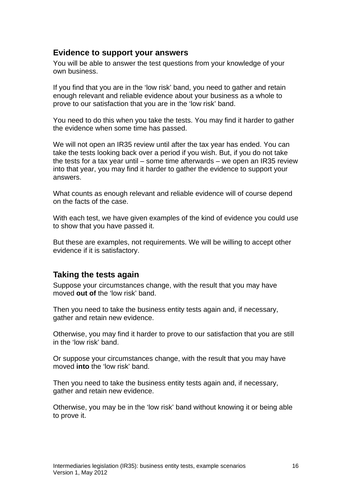#### **Evidence to support your answers**

You will be able to answer the test questions from your knowledge of your own business.

If you find that you are in the 'low risk' band, you need to gather and retain enough relevant and reliable evidence about your business as a whole to prove to our satisfaction that you are in the 'low risk' band.

You need to do this when you take the tests. You may find it harder to gather the evidence when some time has passed.

We will not open an IR35 review until after the tax year has ended. You can take the tests looking back over a period if you wish. But, if you do not take the tests for a tax year until – some time afterwards – we open an IR35 review into that year, you may find it harder to gather the evidence to support your answers.

What counts as enough relevant and reliable evidence will of course depend on the facts of the case.

With each test, we have given examples of the kind of evidence you could use to show that you have passed it.

But these are examples, not requirements. We will be willing to accept other evidence if it is satisfactory.

### **Taking the tests again**

Suppose your circumstances change, with the result that you may have moved **out of** the 'low risk' band.

Then you need to take the business entity tests again and, if necessary, gather and retain new evidence.

Otherwise, you may find it harder to prove to our satisfaction that you are still in the 'low risk' band.

Or suppose your circumstances change, with the result that you may have moved **into** the 'low risk' band.

Then you need to take the business entity tests again and, if necessary, gather and retain new evidence.

Otherwise, you may be in the 'low risk' band without knowing it or being able to prove it.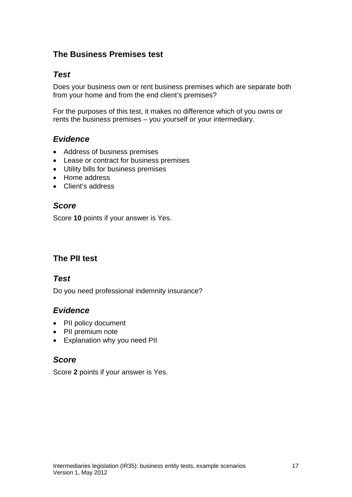# **The Business Premises test**

### *Test*

Does your business own or rent business premises which are separate both from your home and from the end client's premises?

For the purposes of this test, it makes no difference which of you owns or rents the business premises – you yourself or your intermediary.

# *Evidence*

- Address of business premises
- Lease or contract for business premises
- Utility bills for business premises
- Home address
- Client's address

## *Score*

Score **10** points if your answer is Yes.

# **The PII test**

### *Test*

Do you need professional indemnity insurance?

### *Evidence*

- PII policy document
- PII premium note
- Explanation why you need PII

### *Score*

Score **2** points if your answer is Yes.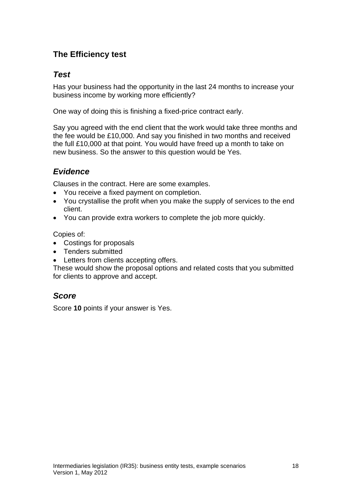# **The Efficiency test**

# *Test*

Has your business had the opportunity in the last 24 months to increase your business income by working more efficiently?

One way of doing this is finishing a fixed-price contract early.

Say you agreed with the end client that the work would take three months and the fee would be £10,000. And say you finished in two months and received the full £10,000 at that point. You would have freed up a month to take on new business. So the answer to this question would be Yes.

# *Evidence*

Clauses in the contract. Here are some examples.

- You receive a fixed payment on completion.
- You crystallise the profit when you make the supply of services to the end client.
- You can provide extra workers to complete the job more quickly.

Copies of:

- Costings for proposals
- Tenders submitted
- Letters from clients accepting offers.

These would show the proposal options and related costs that you submitted for clients to approve and accept.

# *Score*

Score **10** points if your answer is Yes.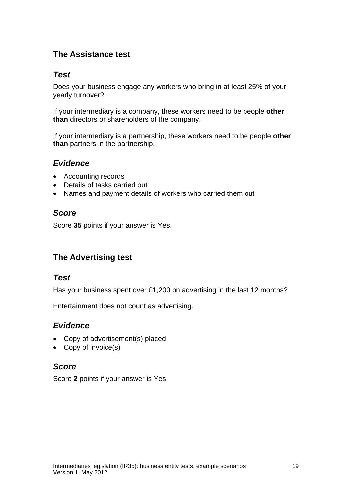# **The Assistance test**

## *Test*

Does your business engage any workers who bring in at least 25% of your yearly turnover?

If your intermediary is a company, these workers need to be people **other than** directors or shareholders of the company.

If your intermediary is a partnership, these workers need to be people **other than** partners in the partnership.

## *Evidence*

- Accounting records
- Details of tasks carried out
- Names and payment details of workers who carried them out

# *Score*

Score **35** points if your answer is Yes.

# **The Advertising test**

### *Test*

Has your business spent over £1,200 on advertising in the last 12 months?

Entertainment does not count as advertising.

# *Evidence*

- Copy of advertisement(s) placed
- Copy of invoice(s)

### *Score*

Score **2** points if your answer is Yes.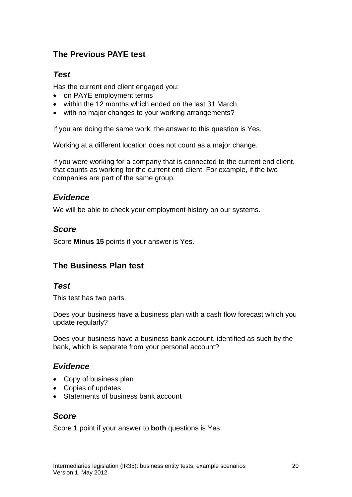# **The Previous PAYE test**

## *Test*

Has the current end client engaged you:

- on PAYE employment terms
- within the 12 months which ended on the last 31 March
- with no major changes to your working arrangements?

If you are doing the same work, the answer to this question is Yes.

Working at a different location does not count as a major change.

If you were working for a company that is connected to the current end client, that counts as working for the current end client. For example, if the two companies are part of the same group.

## *Evidence*

We will be able to check your employment history on our systems.

### *Score*

Score **Minus 15** points if your answer is Yes.

# **The Business Plan test**

#### *Test*

This test has two parts.

Does your business have a business plan with a cash flow forecast which you update regularly?

Does your business have a business bank account, identified as such by the bank, which is separate from your personal account?

### *Evidence*

- Copy of business plan
- Copies of updates
- Statements of business bank account

### *Score*

Score **1** point if your answer to **both** questions is Yes.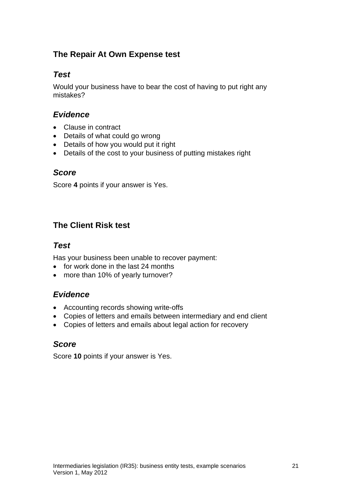# **The Repair At Own Expense test**

### *Test*

Would your business have to bear the cost of having to put right any mistakes?

### *Evidence*

- Clause in contract
- Details of what could go wrong
- Details of how you would put it right
- Details of the cost to your business of putting mistakes right

### *Score*

Score **4** points if your answer is Yes.

# **The Client Risk test**

### *Test*

Has your business been unable to recover payment:

- $\bullet$  for work done in the last 24 months
- more than 10% of yearly turnover?

# *Evidence*

- Accounting records showing write-offs
- Copies of letters and emails between intermediary and end client
- Copies of letters and emails about legal action for recovery

### *Score*

Score **10** points if your answer is Yes.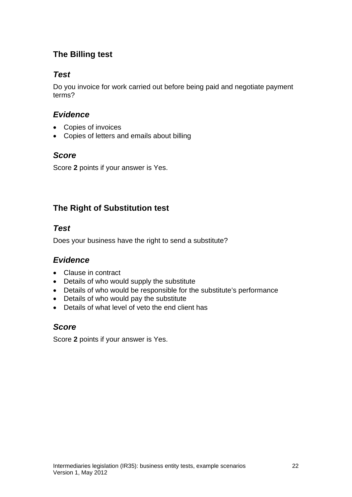# **The Billing test**

# *Test*

Do you invoice for work carried out before being paid and negotiate payment terms?

# *Evidence*

- Copies of invoices
- Copies of letters and emails about billing

## *Score*

Score **2** points if your answer is Yes.

# **The Right of Substitution test**

## *Test*

Does your business have the right to send a substitute?

# *Evidence*

- Clause in contract
- Details of who would supply the substitute
- Details of who would be responsible for the substitute's performance
- Details of who would pay the substitute
- Details of what level of veto the end client has

# *Score*

Score **2** points if your answer is Yes.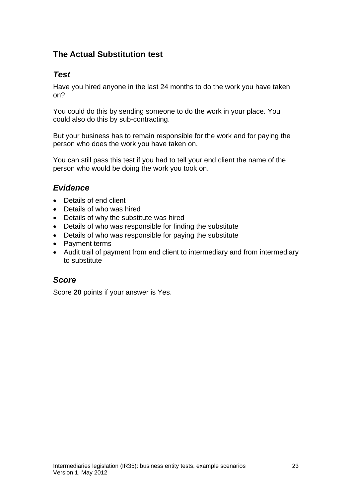# **The Actual Substitution test**

## *Test*

Have you hired anyone in the last 24 months to do the work you have taken on?

You could do this by sending someone to do the work in your place. You could also do this by sub-contracting.

But your business has to remain responsible for the work and for paying the person who does the work you have taken on.

You can still pass this test if you had to tell your end client the name of the person who would be doing the work you took on.

# *Evidence*

- Details of end client
- Details of who was hired
- Details of why the substitute was hired
- Details of who was responsible for finding the substitute
- Details of who was responsible for paying the substitute
- Payment terms
- Audit trail of payment from end client to intermediary and from intermediary to substitute

### *Score*

Score **20** points if your answer is Yes.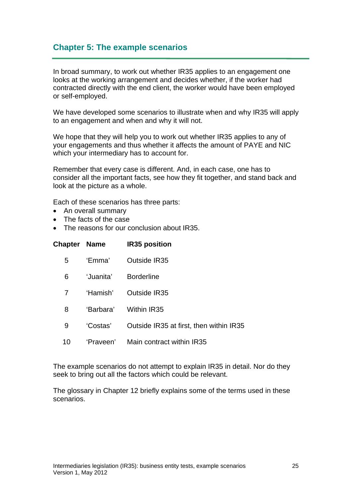## **Chapter 5: The example scenarios**

In broad summary, to work out whether IR35 applies to an engagement one looks at the working arrangement and decides whether, if the worker had contracted directly with the end client, the worker would have been employed or self-employed.

We have developed some scenarios to illustrate when and why IR35 will apply to an engagement and when and why it will not.

We hope that they will help you to work out whether IR35 applies to any of your engagements and thus whether it affects the amount of PAYE and NIC which your intermediary has to account for.

Remember that every case is different. And, in each case, one has to consider all the important facts, see how they fit together, and stand back and look at the picture as a whole.

Each of these scenarios has three parts:

- An overall summary
- The facts of the case
- The reasons for our conclusion about IR35.

| <b>Chapter Name</b> |           | <b>IR35 position</b>                    |
|---------------------|-----------|-----------------------------------------|
| 5                   | 'Emma'    | Outside IR35                            |
| 6                   | 'Juanita' | <b>Borderline</b>                       |
| 7                   | 'Hamish'  | Outside IR35                            |
| 8                   | 'Barbara' | Within IR35                             |
| 9                   | 'Costas'  | Outside IR35 at first, then within IR35 |
| 10                  | 'Praveen' | Main contract within IR35               |

The example scenarios do not attempt to explain IR35 in detail. Nor do they seek to bring out all the factors which could be relevant.

The glossary in Chapter 12 briefly explains some of the terms used in these scenarios.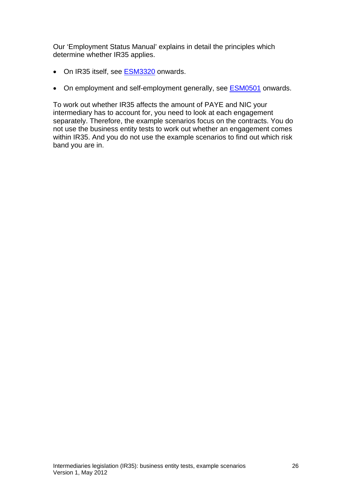Our 'Employment Status Manual' explains in detail the principles which determine whether IR35 applies.

- On IR35 itself, see [ESM3320](http://www.hmrc.gov.uk/manuals/esmmanual/ESM3320.htm) onwards.
- On employment and self-employment generally, see [ESM0501](http://www.hmrc.gov.uk/manuals/esmmanual/ESM0501.htm) onwards.

To work out whether IR35 affects the amount of PAYE and NIC your intermediary has to account for, you need to look at each engagement separately. Therefore, the example scenarios focus on the contracts. You do not use the business entity tests to work out whether an engagement comes within IR35. And you do not use the example scenarios to find out which risk band you are in.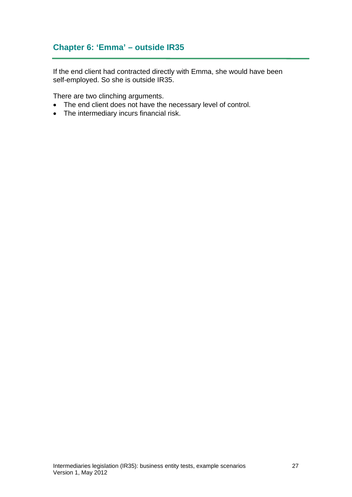# **Chapter 6: 'Emma' – outside IR35**

If the end client had contracted directly with Emma, she would have been self-employed. So she is outside IR35.

There are two clinching arguments.

- The end client does not have the necessary level of control.
- The intermediary incurs financial risk.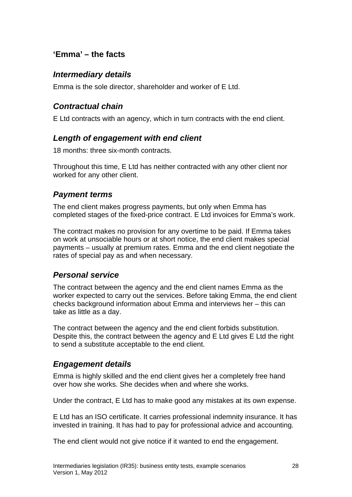# **'Emma' – the facts**

## *Intermediary details*

Emma is the sole director, shareholder and worker of E Ltd.

# *Contractual chain*

E Ltd contracts with an agency, which in turn contracts with the end client.

## *Length of engagement with end client*

18 months: three six-month contracts.

Throughout this time, E Ltd has neither contracted with any other client nor worked for any other client.

### *Payment terms*

The end client makes progress payments, but only when Emma has completed stages of the fixed-price contract. E Ltd invoices for Emma's work.

The contract makes no provision for any overtime to be paid. If Emma takes on work at unsociable hours or at short notice, the end client makes special payments – usually at premium rates. Emma and the end client negotiate the rates of special pay as and when necessary.

# *Personal service*

The contract between the agency and the end client names Emma as the worker expected to carry out the services. Before taking Emma, the end client checks background information about Emma and interviews her – this can take as little as a day.

The contract between the agency and the end client forbids substitution. Despite this, the contract between the agency and E Ltd gives E Ltd the right to send a substitute acceptable to the end client.

# *Engagement details*

Emma is highly skilled and the end client gives her a completely free hand over how she works. She decides when and where she works.

Under the contract, E Ltd has to make good any mistakes at its own expense.

E Ltd has an ISO certificate. It carries professional indemnity insurance. It has invested in training. It has had to pay for professional advice and accounting.

The end client would not give notice if it wanted to end the engagement.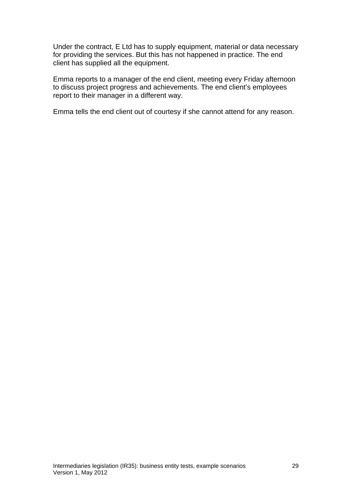Under the contract, E Ltd has to supply equipment, material or data necessary for providing the services. But this has not happened in practice. The end client has supplied all the equipment.

Emma reports to a manager of the end client, meeting every Friday afternoon to discuss project progress and achievements. The end client's employees report to their manager in a different way.

Emma tells the end client out of courtesy if she cannot attend for any reason.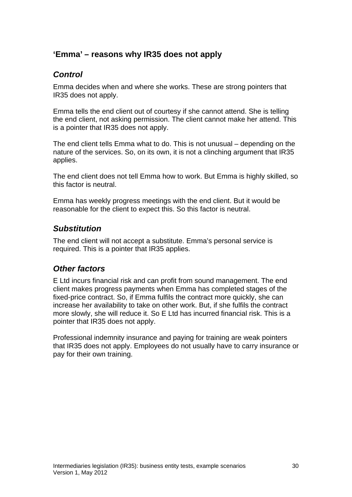# **'Emma' – reasons why IR35 does not apply**

## *Control*

Emma decides when and where she works. These are strong pointers that IR35 does not apply.

Emma tells the end client out of courtesy if she cannot attend. She is telling the end client, not asking permission. The client cannot make her attend. This is a pointer that IR35 does not apply.

The end client tells Emma what to do. This is not unusual – depending on the nature of the services. So, on its own, it is not a clinching argument that IR35 applies.

The end client does not tell Emma how to work. But Emma is highly skilled, so this factor is neutral.

Emma has weekly progress meetings with the end client. But it would be reasonable for the client to expect this. So this factor is neutral.

## *Substitution*

The end client will not accept a substitute. Emma's personal service is required. This is a pointer that IR35 applies.

### *Other factors*

E Ltd incurs financial risk and can profit from sound management. The end client makes progress payments when Emma has completed stages of the fixed-price contract. So, if Emma fulfils the contract more quickly, she can increase her availability to take on other work. But, if she fulfils the contract more slowly, she will reduce it. So E Ltd has incurred financial risk. This is a pointer that IR35 does not apply.

Professional indemnity insurance and paying for training are weak pointers that IR35 does not apply. Employees do not usually have to carry insurance or pay for their own training.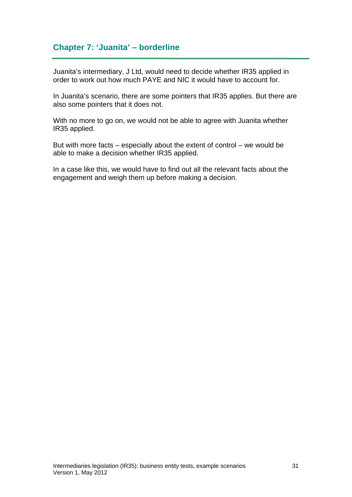## **Chapter 7: 'Juanita' – borderline**

Juanita's intermediary, J Ltd, would need to decide whether IR35 applied in order to work out how much PAYE and NIC it would have to account for.

In Juanita's scenario, there are some pointers that IR35 applies. But there are also some pointers that it does not.

With no more to go on, we would not be able to agree with Juanita whether IR35 applied.

But with more facts – especially about the extent of control – we would be able to make a decision whether IR35 applied.

In a case like this, we would have to find out all the relevant facts about the engagement and weigh them up before making a decision.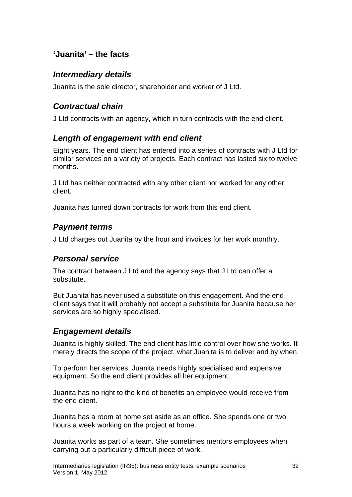# **'Juanita' – the facts**

# *Intermediary details*

Juanita is the sole director, shareholder and worker of J Ltd.

# *Contractual chain*

J Ltd contracts with an agency, which in turn contracts with the end client.

# *Length of engagement with end client*

Eight years. The end client has entered into a series of contracts with J Ltd for similar services on a variety of projects. Each contract has lasted six to twelve months.

J Ltd has neither contracted with any other client nor worked for any other client.

Juanita has turned down contracts for work from this end client.

# *Payment terms*

J Ltd charges out Juanita by the hour and invoices for her work monthly.

# *Personal service*

The contract between J Ltd and the agency says that J Ltd can offer a substitute.

But Juanita has never used a substitute on this engagement. And the end client says that it will probably not accept a substitute for Juanita because her services are so highly specialised.

# *Engagement details*

Juanita is highly skilled. The end client has little control over how she works. It merely directs the scope of the project, what Juanita is to deliver and by when.

To perform her services, Juanita needs highly specialised and expensive equipment. So the end client provides all her equipment.

Juanita has no right to the kind of benefits an employee would receive from the end client.

Juanita has a room at home set aside as an office. She spends one or two hours a week working on the project at home.

Juanita works as part of a team. She sometimes mentors employees when carrying out a particularly difficult piece of work.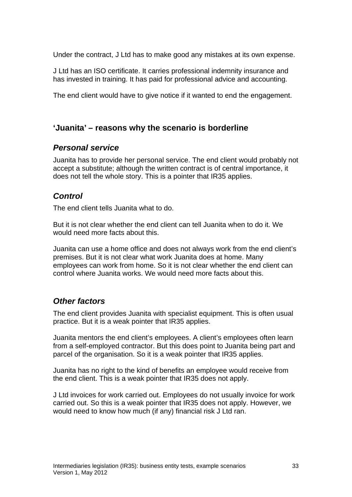Under the contract, J Ltd has to make good any mistakes at its own expense.

J Ltd has an ISO certificate. It carries professional indemnity insurance and has invested in training. It has paid for professional advice and accounting.

The end client would have to give notice if it wanted to end the engagement.

### **'Juanita' – reasons why the scenario is borderline**

#### *Personal service*

Juanita has to provide her personal service. The end client would probably not accept a substitute; although the written contract is of central importance, it does not tell the whole story. This is a pointer that IR35 applies.

## *Control*

The end client tells Juanita what to do.

But it is not clear whether the end client can tell Juanita when to do it. We would need more facts about this.

Juanita can use a home office and does not always work from the end client's premises. But it is not clear what work Juanita does at home. Many employees can work from home. So it is not clear whether the end client can control where Juanita works. We would need more facts about this.

# *Other factors*

The end client provides Juanita with specialist equipment. This is often usual practice. But it is a weak pointer that IR35 applies.

Juanita mentors the end client's employees. A client's employees often learn from a self-employed contractor. But this does point to Juanita being part and parcel of the organisation. So it is a weak pointer that IR35 applies.

Juanita has no right to the kind of benefits an employee would receive from the end client. This is a weak pointer that IR35 does not apply.

J Ltd invoices for work carried out. Employees do not usually invoice for work carried out. So this is a weak pointer that IR35 does not apply. However, we would need to know how much (if any) financial risk J Ltd ran.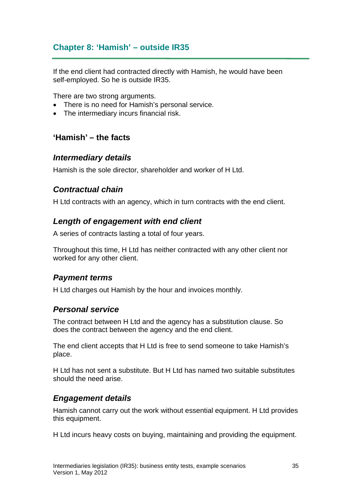# **Chapter 8: 'Hamish' – outside IR35**

If the end client had contracted directly with Hamish, he would have been self-employed. So he is outside IR35.

There are two strong arguments.

- There is no need for Hamish's personal service.
- The intermediary incurs financial risk.

### **'Hamish' – the facts**

#### *Intermediary details*

Hamish is the sole director, shareholder and worker of H Ltd.

#### *Contractual chain*

H Ltd contracts with an agency, which in turn contracts with the end client.

#### *Length of engagement with end client*

A series of contracts lasting a total of four years.

Throughout this time, H Ltd has neither contracted with any other client nor worked for any other client.

#### *Payment terms*

H Ltd charges out Hamish by the hour and invoices monthly.

#### *Personal service*

The contract between H Ltd and the agency has a substitution clause. So does the contract between the agency and the end client.

The end client accepts that H Ltd is free to send someone to take Hamish's place.

H Ltd has not sent a substitute. But H Ltd has named two suitable substitutes should the need arise.

#### *Engagement details*

Hamish cannot carry out the work without essential equipment. H Ltd provides this equipment.

H Ltd incurs heavy costs on buying, maintaining and providing the equipment.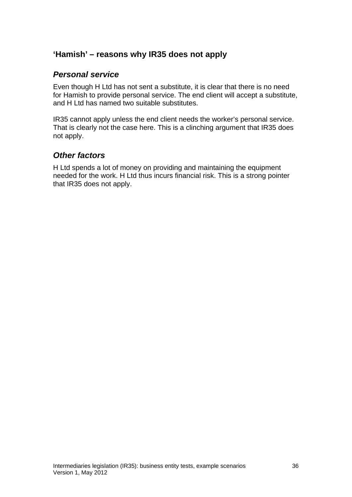# **'Hamish' – reasons why IR35 does not apply**

### *Personal service*

Even though H Ltd has not sent a substitute, it is clear that there is no need for Hamish to provide personal service. The end client will accept a substitute, and H Ltd has named two suitable substitutes.

IR35 cannot apply unless the end client needs the worker's personal service. That is clearly not the case here. This is a clinching argument that IR35 does not apply.

### *Other factors*

H Ltd spends a lot of money on providing and maintaining the equipment needed for the work. H Ltd thus incurs financial risk. This is a strong pointer that IR35 does not apply.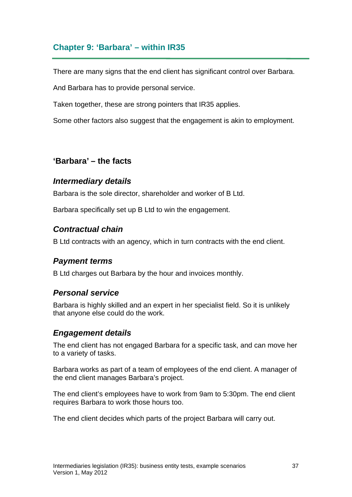# **Chapter 9: 'Barbara' – within IR35**

There are many signs that the end client has significant control over Barbara.

And Barbara has to provide personal service.

Taken together, these are strong pointers that IR35 applies.

Some other factors also suggest that the engagement is akin to employment.

### **'Barbara' – the facts**

#### *Intermediary details*

Barbara is the sole director, shareholder and worker of B Ltd.

Barbara specifically set up B Ltd to win the engagement.

#### *Contractual chain*

B Ltd contracts with an agency, which in turn contracts with the end client.

### *Payment terms*

B Ltd charges out Barbara by the hour and invoices monthly.

### *Personal service*

Barbara is highly skilled and an expert in her specialist field. So it is unlikely that anyone else could do the work.

#### *Engagement details*

The end client has not engaged Barbara for a specific task, and can move her to a variety of tasks.

Barbara works as part of a team of employees of the end client. A manager of the end client manages Barbara's project.

The end client's employees have to work from 9am to 5:30pm. The end client requires Barbara to work those hours too.

The end client decides which parts of the project Barbara will carry out.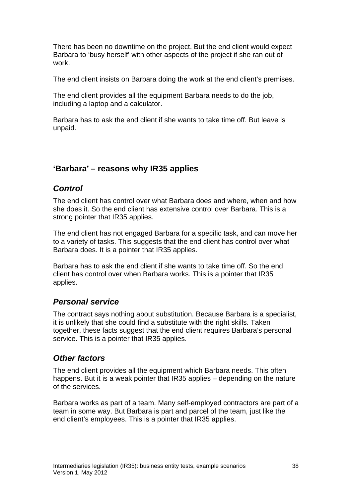There has been no downtime on the project. But the end client would expect Barbara to 'busy herself' with other aspects of the project if she ran out of work.

The end client insists on Barbara doing the work at the end client's premises.

The end client provides all the equipment Barbara needs to do the job, including a laptop and a calculator.

Barbara has to ask the end client if she wants to take time off. But leave is unpaid.

# **'Barbara' – reasons why IR35 applies**

### *Control*

The end client has control over what Barbara does and where, when and how she does it. So the end client has extensive control over Barbara. This is a strong pointer that IR35 applies.

The end client has not engaged Barbara for a specific task, and can move her to a variety of tasks. This suggests that the end client has control over what Barbara does. It is a pointer that IR35 applies.

Barbara has to ask the end client if she wants to take time off. So the end client has control over when Barbara works. This is a pointer that IR35 applies.

### *Personal service*

The contract says nothing about substitution. Because Barbara is a specialist, it is unlikely that she could find a substitute with the right skills. Taken together, these facts suggest that the end client requires Barbara's personal service. This is a pointer that IR35 applies.

### *Other factors*

The end client provides all the equipment which Barbara needs. This often happens. But it is a weak pointer that IR35 applies – depending on the nature of the services.

Barbara works as part of a team. Many self-employed contractors are part of a team in some way. But Barbara is part and parcel of the team, just like the end client's employees. This is a pointer that IR35 applies.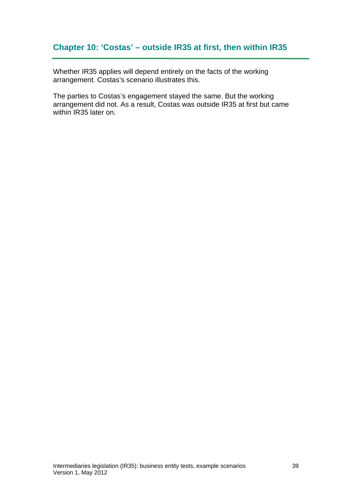# **Chapter 10: 'Costas' – outside IR35 at first, then within IR35**

Whether IR35 applies will depend entirely on the facts of the working arrangement. Costas's scenario illustrates this.

The parties to Costas's engagement stayed the same. But the working arrangement did not. As a result, Costas was outside IR35 at first but came within IR35 later on.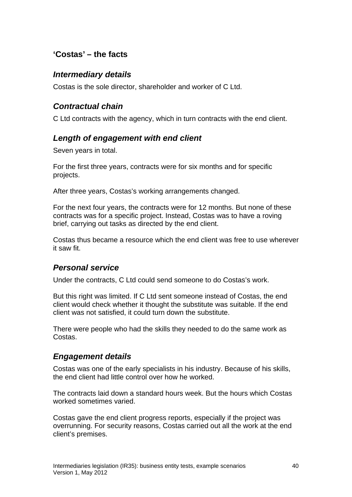# **'Costas' – the facts**

## *Intermediary details*

Costas is the sole director, shareholder and worker of C Ltd.

## *Contractual chain*

C Ltd contracts with the agency, which in turn contracts with the end client.

# *Length of engagement with end client*

Seven years in total.

For the first three years, contracts were for six months and for specific projects.

After three years, Costas's working arrangements changed.

For the next four years, the contracts were for 12 months. But none of these contracts was for a specific project. Instead, Costas was to have a roving brief, carrying out tasks as directed by the end client.

Costas thus became a resource which the end client was free to use wherever it saw fit.

### *Personal service*

Under the contracts, C Ltd could send someone to do Costas's work.

But this right was limited. If C Ltd sent someone instead of Costas, the end client would check whether it thought the substitute was suitable. If the end client was not satisfied, it could turn down the substitute.

There were people who had the skills they needed to do the same work as Costas.

### *Engagement details*

Costas was one of the early specialists in his industry. Because of his skills, the end client had little control over how he worked.

The contracts laid down a standard hours week. But the hours which Costas worked sometimes varied.

Costas gave the end client progress reports, especially if the project was overrunning. For security reasons, Costas carried out all the work at the end client's premises.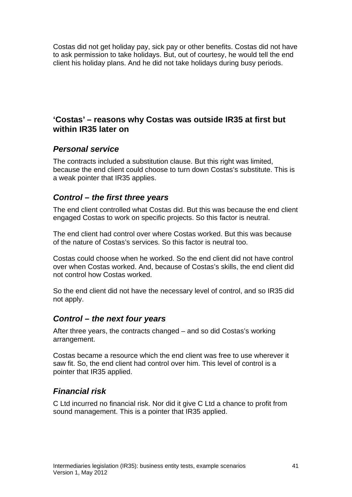Costas did not get holiday pay, sick pay or other benefits. Costas did not have to ask permission to take holidays. But, out of courtesy, he would tell the end client his holiday plans. And he did not take holidays during busy periods.

## **'Costas' – reasons why Costas was outside IR35 at first but within IR35 later on**

### *Personal service*

The contracts included a substitution clause. But this right was limited, because the end client could choose to turn down Costas's substitute. This is a weak pointer that IR35 applies.

## *Control – the first three years*

The end client controlled what Costas did. But this was because the end client engaged Costas to work on specific projects. So this factor is neutral.

The end client had control over where Costas worked. But this was because of the nature of Costas's services. So this factor is neutral too.

Costas could choose when he worked. So the end client did not have control over when Costas worked. And, because of Costas's skills, the end client did not control how Costas worked.

So the end client did not have the necessary level of control, and so IR35 did not apply.

# *Control – the next four years*

After three years, the contracts changed – and so did Costas's working arrangement.

Costas became a resource which the end client was free to use wherever it saw fit. So, the end client had control over him. This level of control is a pointer that IR35 applied.

# *Financial risk*

C Ltd incurred no financial risk. Nor did it give C Ltd a chance to profit from sound management. This is a pointer that IR35 applied.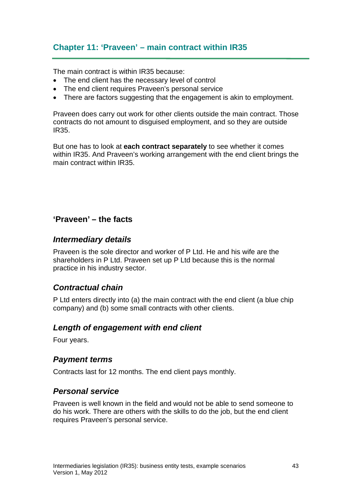# **Chapter 11: 'Praveen' – main contract within IR35**

The main contract is within IR35 because:

- The end client has the necessary level of control
- The end client requires Praveen's personal service
- There are factors suggesting that the engagement is akin to employment.

Praveen does carry out work for other clients outside the main contract. Those contracts do not amount to disguised employment, and so they are outside IR35.

But one has to look at **each contract separately** to see whether it comes within IR35. And Praveen's working arrangement with the end client brings the main contract within IR35.

### **'Praveen' – the facts**

#### *Intermediary details*

Praveen is the sole director and worker of P Ltd. He and his wife are the shareholders in P Ltd. Praveen set up P Ltd because this is the normal practice in his industry sector.

### *Contractual chain*

P Ltd enters directly into (a) the main contract with the end client (a blue chip company) and (b) some small contracts with other clients.

#### *Length of engagement with end client*

Four years.

#### *Payment terms*

Contracts last for 12 months. The end client pays monthly.

#### *Personal service*

Praveen is well known in the field and would not be able to send someone to do his work. There are others with the skills to do the job, but the end client requires Praveen's personal service.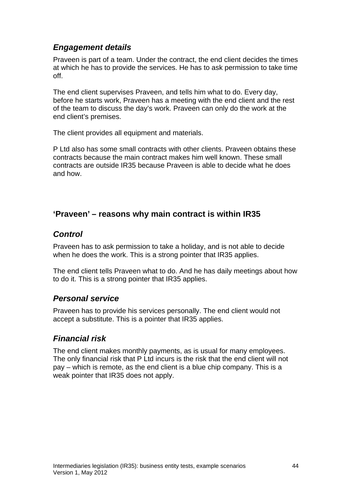# *Engagement details*

Praveen is part of a team. Under the contract, the end client decides the times at which he has to provide the services. He has to ask permission to take time off.

The end client supervises Praveen, and tells him what to do. Every day, before he starts work, Praveen has a meeting with the end client and the rest of the team to discuss the day's work. Praveen can only do the work at the end client's premises.

The client provides all equipment and materials.

P Ltd also has some small contracts with other clients. Praveen obtains these contracts because the main contract makes him well known. These small contracts are outside IR35 because Praveen is able to decide what he does and how.

# **'Praveen' – reasons why main contract is within IR35**

# *Control*

Praveen has to ask permission to take a holiday, and is not able to decide when he does the work. This is a strong pointer that IR35 applies.

The end client tells Praveen what to do. And he has daily meetings about how to do it. This is a strong pointer that IR35 applies.

### *Personal service*

Praveen has to provide his services personally. The end client would not accept a substitute. This is a pointer that IR35 applies.

# *Financial risk*

The end client makes monthly payments, as is usual for many employees. The only financial risk that P Ltd incurs is the risk that the end client will not pay – which is remote, as the end client is a blue chip company. This is a weak pointer that IR35 does not apply.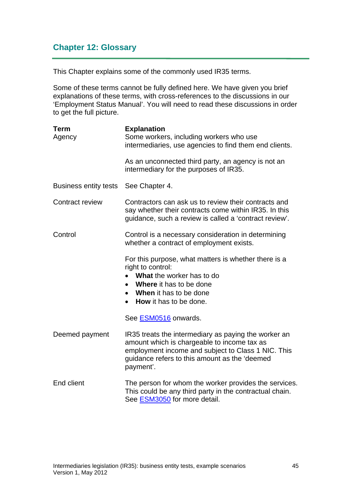# **Chapter 12: Glossary**

This Chapter explains some of the commonly used IR35 terms.

Some of these terms cannot be fully defined here. We have given you brief explanations of these terms, with cross-references to the discussions in our 'Employment Status Manual'. You will need to read these discussions in order to get the full picture.

| <b>Term</b><br>Agency        | <b>Explanation</b><br>Some workers, including workers who use<br>intermediaries, use agencies to find them end clients.                                                                                                              |
|------------------------------|--------------------------------------------------------------------------------------------------------------------------------------------------------------------------------------------------------------------------------------|
|                              | As an unconnected third party, an agency is not an<br>intermediary for the purposes of IR35.                                                                                                                                         |
| <b>Business entity tests</b> | See Chapter 4.                                                                                                                                                                                                                       |
| <b>Contract review</b>       | Contractors can ask us to review their contracts and<br>say whether their contracts come within IR35. In this<br>guidance, such a review is called a 'contract review'.                                                              |
| Control                      | Control is a necessary consideration in determining<br>whether a contract of employment exists.                                                                                                                                      |
|                              | For this purpose, what matters is whether there is a<br>right to control:<br><b>What the worker has to do</b><br>Where it has to be done<br><b>When</b> it has to be done<br>$\bullet$<br><b>How</b> it has to be done.<br>$\bullet$ |
|                              | See ESM0516 onwards.                                                                                                                                                                                                                 |
| Deemed payment               | IR35 treats the intermediary as paying the worker an<br>amount which is chargeable to income tax as<br>employment income and subject to Class 1 NIC. This<br>guidance refers to this amount as the 'deemed<br>payment'.              |
| End client                   | The person for whom the worker provides the services.<br>This could be any third party in the contractual chain.<br>See ESM3050 for more detail.                                                                                     |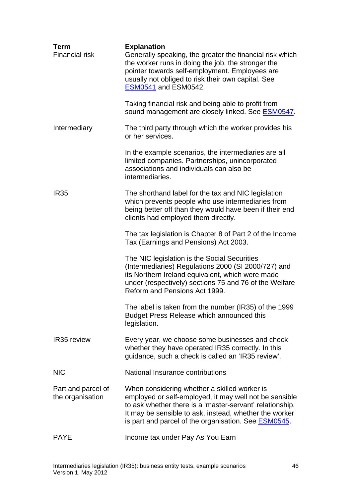| <b>Term</b><br><b>Financial risk</b>   | <b>Explanation</b><br>Generally speaking, the greater the financial risk which<br>the worker runs in doing the job, the stronger the<br>pointer towards self-employment. Employees are<br>usually not obliged to risk their own capital. See<br><b>ESM0541</b> and ESM0542.                  |
|----------------------------------------|----------------------------------------------------------------------------------------------------------------------------------------------------------------------------------------------------------------------------------------------------------------------------------------------|
|                                        | Taking financial risk and being able to profit from<br>sound management are closely linked. See <b>ESM0547</b> .                                                                                                                                                                             |
| Intermediary                           | The third party through which the worker provides his<br>or her services.                                                                                                                                                                                                                    |
|                                        | In the example scenarios, the intermediaries are all<br>limited companies. Partnerships, unincorporated<br>associations and individuals can also be<br>intermediaries.                                                                                                                       |
| <b>IR35</b>                            | The shorthand label for the tax and NIC legislation<br>which prevents people who use intermediaries from<br>being better off than they would have been if their end<br>clients had employed them directly.                                                                                   |
|                                        | The tax legislation is Chapter 8 of Part 2 of the Income<br>Tax (Earnings and Pensions) Act 2003.                                                                                                                                                                                            |
|                                        | The NIC legislation is the Social Securities<br>(Intermediaries) Regulations 2000 (SI 2000/727) and<br>its Northern Ireland equivalent, which were made<br>under (respectively) sections 75 and 76 of the Welfare<br>Reform and Pensions Act 1999.                                           |
|                                        | The label is taken from the number (IR35) of the 1999<br><b>Budget Press Release which announced this</b><br>legislation.                                                                                                                                                                    |
| <b>IR35 review</b>                     | Every year, we choose some businesses and check<br>whether they have operated IR35 correctly. In this<br>guidance, such a check is called an 'IR35 review'.                                                                                                                                  |
| <b>NIC</b>                             | National Insurance contributions                                                                                                                                                                                                                                                             |
| Part and parcel of<br>the organisation | When considering whether a skilled worker is<br>employed or self-employed, it may well not be sensible<br>to ask whether there is a 'master-servant' relationship.<br>It may be sensible to ask, instead, whether the worker<br>is part and parcel of the organisation. See <b>ESM0545</b> . |
| <b>PAYE</b>                            | Income tax under Pay As You Earn                                                                                                                                                                                                                                                             |